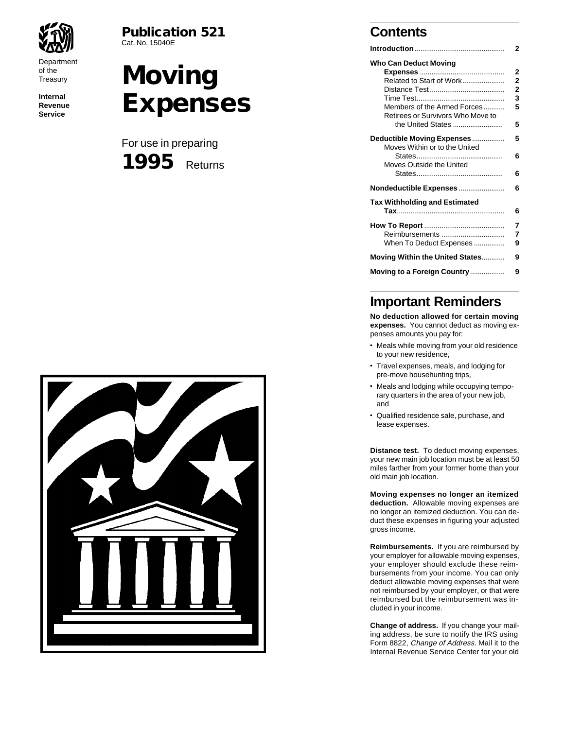

**Publication 521 Contents** Cat. No. 15040E



|                                                                    | Cat. No. 15040E                                |                                                                                                       |
|--------------------------------------------------------------------|------------------------------------------------|-------------------------------------------------------------------------------------------------------|
| Department<br>of the<br>Treasury<br>Internal<br>Revenue<br>Service | <b>Moving</b><br><b>Expenses</b>               | <b>Who Can Deduct Moving</b><br>Members of the Armed Forces<br>Retirees or Survivors Who Move to<br>5 |
|                                                                    | For use in preparing<br>1995<br><b>Returns</b> | Deductible Moving Expenses<br>5<br>Moves Within or to the United<br>Moves Outside the United<br>6     |
|                                                                    |                                                | - 6                                                                                                   |
|                                                                    |                                                | <b>Tax Withholding and Estimated</b>                                                                  |
|                                                                    |                                                | 9<br>When To Deduct Expenses                                                                          |
|                                                                    |                                                | Moving Within the United States<br>9                                                                  |
|                                                                    |                                                |                                                                                                       |

### **Important Reminders**

**No deduction allowed for certain moving expenses.** You cannot deduct as moving expenses amounts you pay for:

- Meals while moving from your old residence to your new residence,
- Travel expenses, meals, and lodging for pre-move househunting trips,
- Meals and lodging while occupying temporary quarters in the area of your new job, and
- Qualified residence sale, purchase, and lease expenses.

**Distance test.** To deduct moving expenses, your new main job location must be at least 50 miles farther from your former home than your old main job location.

**Moving expenses no longer an itemized deduction.** Allowable moving expenses are no longer an itemized deduction. You can deduct these expenses in figuring your adjusted gross income.

**Reimbursements.** If you are reimbursed by your employer for allowable moving expenses, your employer should exclude these reimbursements from your income. You can only deduct allowable moving expenses that were not reimbursed by your employer, or that were reimbursed but the reimbursement was included in your income.

**Change of address.** If you change your mailing address, be sure to notify the IRS using Form 8822, Change of Address. Mail it to the Internal Revenue Service Center for your old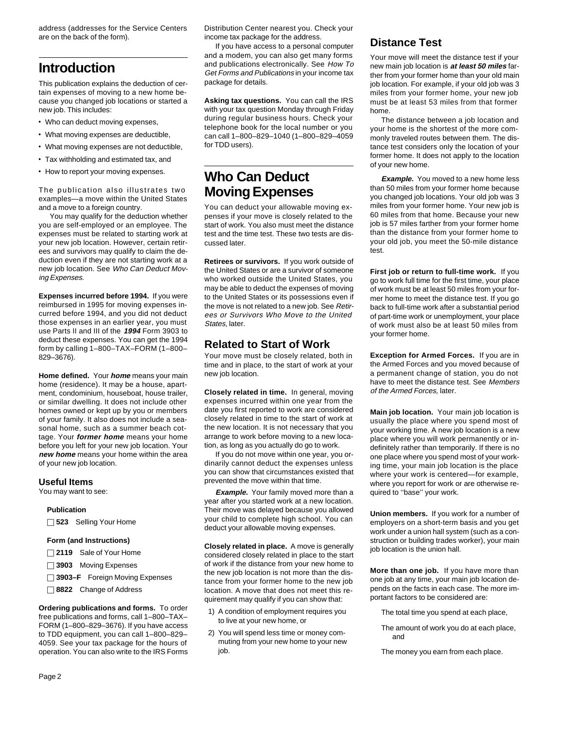address (addresses for the Service Centers Distribution Center nearest you. Check your are on the back of the form). **income tax package for the address. Distance Test If** you have access to a personal computer **Distance Test** 

- 
- 
- 
- 
- 

ees and survivors may qualify to claim the de-<br>duction even if they are not starting work at a<br>Retirees or survivors. If you work outside of duction even if they are not starting work at a<br>**Retirees or survivors.** If you work outside of<br>the United States or are a survivor of someone

use Parts II and III of the **1994** Form 3903 to your former home.<br>deduct these expenses. You can get the 1994<br>form by calling 1–800–TAX–FORM (1–800–TAT **Related to Start of Work**<br>and alling 1–800–TAX–FORM (1–800–TAT and al

ment, condominium, houseboat, house trailer, **Closely related in time.** In general, moving<br>or similar dwelling. It does not include other expenses incurred within one year from the or similar dwelling. It does not include other homes owned or kept up by you or members date you first reported to work are considered **Main job location.** Your main job location is of your family. It also does not include a sea-<br>sonal home, such as a summer beach cot-<br>the new location. It is not necessary that you working time A new indication is a new

- 
- 

**Ordering publications and forms.** To order and the condition of employment requires you The total time you spend at each place,<br>
free publications and forms, call 1–800–TAX–<br>
FORM (1–800–829–3676). If you have access to T 4059. See your tax package for the hours of muting from your new home to your new<br>operation You can also write to the IRS Forms iob. operation. You can also write to the IRS Forms  $j$  ob.  $j$  is the money you earn from each place.

and a modem, you can also get many forms Your move will meet the distance test if your<br>and publications electronically. See *How To* new main job location is **at least 50 miles** far-<br>Get Forms and Publications in your inco

cause you changed job locations or started a **Asking tax questions.** You can call the IRS must be at least 53 miles from that former with your tax question Monday through Friday home.<br>during regular business hours. Check your Th • Who can deduct moving expenses, during regular business hours. Check your The distance between a job location and<br>telephone book for the local number or you vour home is the shortest of the more comtelephone book for the local number of the more of the more com-<br>A What moving expenses are not deductible for TDD users).<br>More test considers only the location of your transition of your

## **Who Can Deduct** Example. You moved to a new home less.

You may qualify for the deduction whether penses if your move is closely related to the 60 miles from that home. Because your new<br>Lare self-emploved or an emplovee. The start of work, You also must meet the distance job is you are self-employed or an employee. The start of work. You also must meet the distance expenses must be related to starting work at test and the time test. These two tests are dis-<br> your new job location. However, certain retir- cussed later. The manner of the standard your old job, you meet the 50-mile distance

new job location. See Who Can Deduct Mov-<br>ing Expenses. Who Worked outside the United States, you go to work full time for the first time, your place<br>may be able to deduct the expenses of moving of work must be at least 50

829–3676).<br>**BEXECE** Your move must be closely related, both in **EXCEPTION for Armod in place, to the start of work at your** 

**Example.** Your family moved more than a quired to "base" your work. year after you started work at a new location. **Publication**<br>Their move was delayed because you allowed **Union members.** If you work for a number of your child to complete high school. You can a number of a number of your child to complete high school. You can a numbe

Form (and Instructions) Closely related in place. A move is generally struction or building trades worker), your main<br>
□ 2119 Sale of Your Home considered closely related in place to the start place to the start <table>\n<tbody>\n<tr>\n<td>3903</td>\n<td>Moving Express</td>\n<td>of work if the distance from your new home to<br/>the new job location is not more than the dis-</td>\n<td>More than one job. If you have more than<br/>tance from your former home to the new job</td>\n<td>More than one job. If you have more than<br/>one job at any time, your main job location de-</td>\n</tr>\n<tr>\n<td>3903</td>\n<td>For eigen Moving Express</td>\n<td>the new job location is not more than the dis-</td>\n<td>More than one job. If you have more than<br/>one job at any time, your main job location de-</td>\n</tr>\n<tr>\n<td>3903</td>\n<td>For eigen Moving Express</td>\n<td>the new job location is not □ **8822** Change of Address becation. A move that does not meet this re-<br>cualify if you can show that: portant factors to be considered are: quirement may qualify if you can show that:

- 
- 

This publication explains the deduction of cer-<br>
tain expenses of moving to a new home be-<br>
tain expenses of moving to a new home bemiles from your former home, your new job<br>Asking tax questions. You can call the IRS must be at least 53 miles from that former

• What moving expenses are not deductible, the TDD users). The stance test considers only the location of your Fax withholding and estimated tax, and former home. It does not apply to the location<br>• How to report your moving expenses.<br>• How to report your moving expenses.

The publication also illustrates two **Moving Expenses** than 50 miles from your former home because<br>examples—a move within the United States You can deduct your allowable moving ex-<br>and a move to a foreign country and a move to a foreign country. You can deduct your allowable moving ex-<br>You may qualify for the deduction whether penses if your move is closely related to the 60 miles from that home. Because your new

**Expenses incurred before 1994.** If you were to the United States or its possessions even if the move is not reimbursed in 1995 for moving expenses in-<br>
reimbursed in 1995 for moving expenses in-<br>
curred before 1994, and y

the Armed Forces and you moved because of **Home defined.** Your *home* means your main new job location. a permanent change of station, you do not home (residence). It may be a house, apart-<br>have to meet the distance test. See *Members* house trailer **Closely relat** 

sonal home, such as a summer beach cot-<br>the new location. It is not necessary that you your working time. A new job location is a new<br>tage. Your former home means your home arrange to work before moving to a new loca-<br>befo you can show that circumstances existed that<br>where your work is centered—for example,<br>You may want to see: **Example.** Your family moved more than a quired to "base" your work.

□ 523 Selling Your Home your child to complete high school. You can employers on a short-term basis and you get<br>deduct your allowable moving expenses. work under a union hall system (such as a con-

- 
- 
-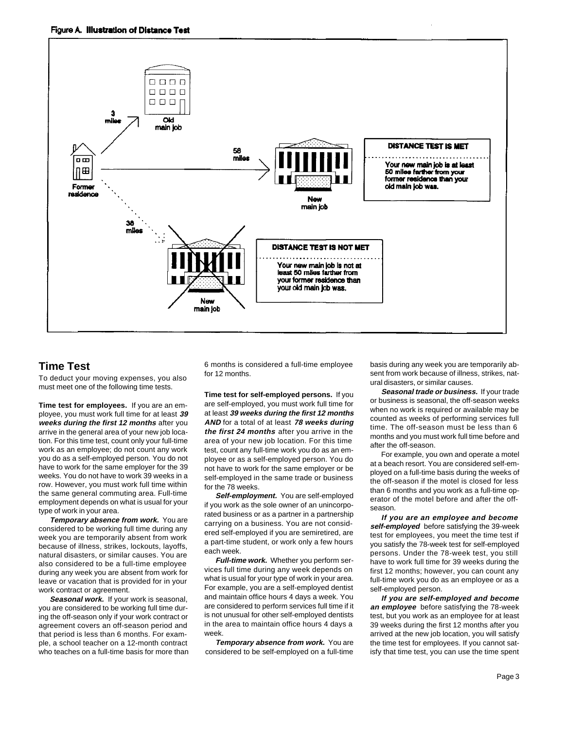

To deduct your moving expenses, you also<br>
To deduct your moving expenses, you also<br>
The test for self-employed persons. If you<br>
Time test for self-employed persons. If you<br>
Time test for self-employed persons. If you<br>
Tim

that period is less than 6 months. For exam- week. The new is arrived at the new job location, you will satisfy

**Time Test** 6 months is considered a full-time employee basis during any week you are temporarily ab-

during any week you are absent from work for vices full time during any week depends on during any week you are absent from work for vices full time during any week depends on has counted any count and count and count and leave or vacation that is provided for in your what is usual for your type of work in your area. [ull-time work you do as an employee or as a work contract or agreement.<br>Seasonal work. If your work is seasonal. and maintain office hours 4 days a week. You **f you are self-employed and become Seasonal work.** If your work is seasonal, and maintain office hours 4 days a week. You are considered to be working full time if it you are considered to be working full time dur- are considered to perform services full time if it **an employee** before satisfying the 78-week ing the off-season only if your work contract or is not unusual for other self-employed dentists test, but you work as an employee for at least agreement covers an off-season period and in the area to maintain office hours agreement covers an off-season period and in the area to maintain office hours 4 days a 39 weeks during the first 12 months after you

ple, a school teacher on a 12-month contract **Temporary absence from work.** You are the time test for employees. If you cannot sat-<br>who teaches on a full-time basis for more than considered to be self-employed on a full-ti considered to be self-employed on a full-time isfy that time test, you can use the time spent

natural disasters, or similar causes. You are<br>also considered to be a full-time employee **Full-time work.** Whether you perform ser-<br>during any week full time for some to wices full time during any week depends on first 12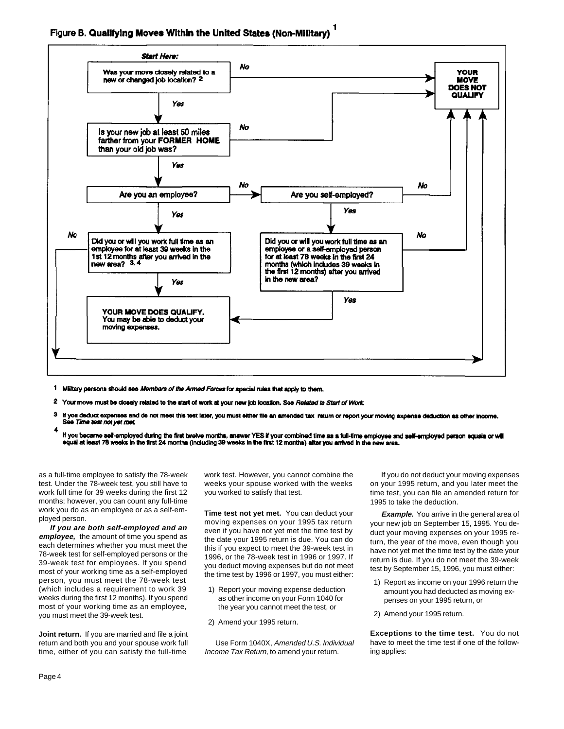



- 1 Military persons should see Members of the Armed Forces for special rules that apply to them.
- 2 Your move must be closely related to the start of work at your new job location. See Related to Start of Work.
- 3 If you deduct expenses and do not meet this test later, you must either file an amended tax return or report your moving expense deduction as other income. See Time test not yet met.
- If you became self-employed during the first twelve months, answer YES if your combined time as a full-time employee and self-employed person equals or will<br>equal at least 78 weeks in the first 24 months (including 39 week

test. Under the 78-week test, you still have to weeks your spouse worked with the weeks on your 1995 return, and you later meet the work full time for 39 weeks during the first 12 you worked to satisfy that test. The test, you can file an amended return for months; however, you can count any full-time<br>work you do as an employee or as a self-em-<br>Time test not yet met. You can deduct your Figures of Neu sative is in

work you do as an employee or as a self-employed **Time test not yet met.** You can deduct your **Example.** You arrive in the general area of moving expenses on your 1995 tax return your new job on September 15, 1995. You dev you must meet the 39-week test. 2) Amend your 1995 return.

return and both you and your spouse work full Use Form 1040X, Amended U.S. Individual have to meet time, either of you can satisfy the full-time Income Tax Return, to amend your return. time, either of you can satisfy the full-time

- 
- 2) Amend your 1995 return.

as a full-time employee to satisfy the 78-week work test. However, you cannot combine the If you do not deduct your moving expenses

- 
- 

**Joint return.** If you are married and file a joint **Exceptions to the time test.** You do not **Freturn** and both you and your spouse work full **Exceptions Exceptions to the time test.** You do not return and both you and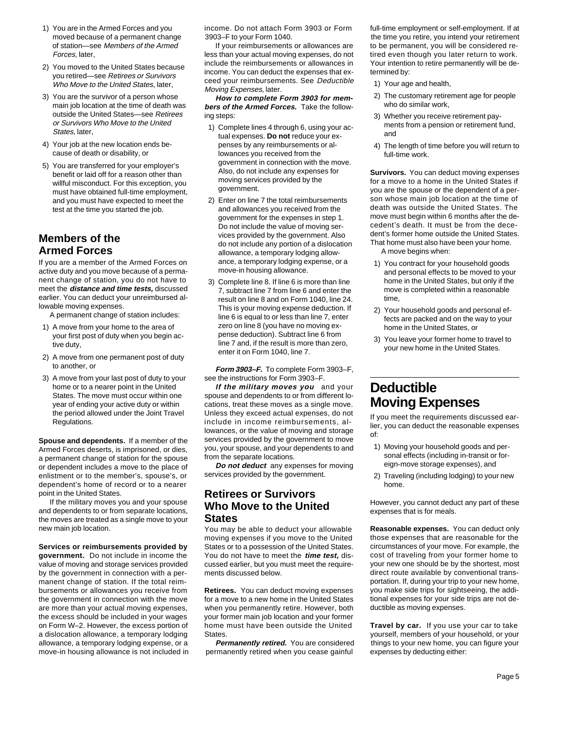- 
- 
- outside the United States—see Retirees ing steps: 3) Whether you receive retirement pay-<br>3) Organization of Survivors Who Move to the United 1999 of Albertain Albertain Currison of the ments from a pension or retirement fr
- 
- 5) You are transferred for your employer's government in connection with the move-<br>henefit or laid off for a reason other than Also, do not include any expenses for

active duty and you move because of a perma-<br>
nent change of station, you do not have to a complete line 8. If line 6 is more than line and personal effects to be moved to your<br>
nent change of station, you do not have to a meet the **distance and time tests,** discussed  $\frac{1}{7}$ , subtract line 7 from line 6 and enter the earlier. You can deduct your unreimbursed al-<br>
lowable moving expenses. This is your moving expense deduction If and on Form 1040, line 24.

- 
- 
- 3) A move from your last post of duty to your see the instructions for Form 3903–F. home or to a nearer point in the United **If the military moves you** and your **Deductible**<br>States. The move must occur within one spouse and dependents to or from different lo-

Formed Forces deserts, is imprisoned, or dies, you, your spouse, and your dependents to and a per-<br>
Armed Forces deserts, is imprisoned, or dies, you, your spouse from the separate locations.<br>
a permusiance of the solution **Do not deduct** any expenses for moving equipment or to the member's spouse's or services provided by the government. enlistment or to the member's, spouse's, or services provided by the government. 2) Traveling (including lodging) to your new dependent's home of record or to a nearer home. The same home home home.

and dependents to or from separate locations,<br>the moves are treated as a single move to your **States** the moves are treated as a single move to your

manent change of station. If the total reim-

the excess should be included in your wages your former main job location and your former

Forces, later, hess than your actual moving expenses, do not tired even though you later return to work. 2) You moved to the United States because include the reimbursements or allowances in Your intention to retire permanently will be de-<br>you retired—see Retirees or Survivors ceed your reimbursements. See Deductible the expe

main job location at the time of death was **bers of the Armed Forces.** Take the follow-<br>outside the United States—see Retirees ing steps:

- or Survivors Who Move to the United method ments from a pension or retirement fund,<br>States, later, and stual expenses. **Do not** reduce your ex- and tual expenses. **Do not** reduce your ex-4) Your job at the new location ends be-<br>cause of death or disability, or because of death or disability, or because of death or disability, or by ances you received from the full-time work. lowances you received from the full-time work.<br>government in connection with the move.
- government for the expenses in step 1. vices provided by the government. Also dent's former home outside the United State<br>do not include any portion of a dislocation That home must also have been your home.<br>A move begins when: also have been your home.<br>A move b allowance, a temporary lodging allow-If you are a member of the Armed Forces on ance, a temporary lodging expense, or a 1) You contract for your household goods<br>active duty and you move because of a perma-<br>nove-in housing allowance.
- 3) Complete line 8. If line 6 is more than line bome in the United States, but only if the <br>7. subtract line 7 from line 6 and enter the move is completed within a reasonable able moving expenses.<br>A permanent change of station includes:<br>A move from your home to the area of a series of the case of the case of the case of the case of the case of the case of the case of the case of the case of the 1) A move from your home to the area of zero on line 8 (you have no moving ex-<br>your first post of duty when you begin ac- pense deduction). Subtract line 6 from your first post of duty when you begin ac-<br>tive duty,<br>2) A move from one permanent post of duty<br>2) A move from one permanent post of duty<br>2) A move from one permanent post of duty<br>2) A move from one permanent post of duty

to another, or **Form 3903–F.** To complete Form 3903–F,

spouse and dependents to or from different lo-States. The move must occur within one spouse and dependents to or nominaliterem, to-<br>year of ending your active duty or within cations, treat these moves as a single move. **Moving Expenses**<br>the period allowed under the Jo the period allowed under the Joint Travel Unless they exceed actual expenses, do not If you meet the requirements discussed ear-<br>Regulations. Include in income reimbursements, allier, you can deduct the reasonable expenses **Spouse and dependents.** If a member of the services provided by the government to move

# point in the United States. **Retirees or Survivors**

**Services or reimbursements provided by** States or to a possession of the United States. **government.** Do not include in income the You do not have to meet the **time test,** dis- cost of traveling from your former home to

the government in connection with the move for a move to a new home in the United States tional expenses for your side trips are not de-<br>are more than your actual moving expenses, when you permanently retire. However, both are more than your actual moving expenses, when you permanently retire. However, both on Form W–2. However, the excess portion of home must have been outside the United **Travel by car.** If you use your car to take a dislocation allowance, a temporary lodging States. States States States and States of your household, or your

allowance, a temporary lodging expense, or a **Permanently retired.** You are considered things to your new home, you can figure your move-in housing allowance is not included in permanently retired when you cease gainful expenses by deducting either:

1) You are in the Armed Forces and you income. Do not attach Form 3903 or Form full-time employment or self-employment. If at moved because of a permanent change 3903–F to your Form 1040. The time you retire, you intend your retirement of station—see Members of the Armed If your reimbursements or allowances are to be permanent, you will be considered re-

- 
- 3) You are the survivor of a person whose *Moving Expenses*, later.<br>3) You are the survivor of a person whose **How to complete Form 3903 for mem-** 2) The customary retirement age for people main job location at the time of
	-
	-

benefit or laid off for a reason other than Also, do not include any expenses for **Survivors.** You can deduct moving expenses willful misconduct. For this exception, you moving services provided by the for a move to a home in the United States if<br>must have obtained full time employment government. must have obtained full-time employment, government. government by a govern we must have expected to meet the  $\sim$  2) Forter on line 7 the total reimbursements son whose main job location at the time of and you must have expected to meet the 2) Enter on line 7 the total reimbursements son whose main job location at the time of<br>test at the time you started the job and allowances you received from the death was outside the test at the time you started the job. and allowances you received from the death was outside the United States. The<br>covernment for the expenses in step 1 move must begin within 6 months after the de-Do not include the value of moving ser-<br>vices provided by the government Also dent's former home outside the United States.

- 
- 
- 

- 
- 

**IF The military moves you cannot deduct any part of these** However, you cannot deduct any part of these expenses that is for meals.

new main job location. You may be able to deduct your allowable **Reasonable expenses.** You can deduct only moving expenses if you move to the United those expenses that are reasonable for the States or to a possession of the United States. circumstances of your move. For example, the value of moving and storage services provided cussed earlier, but you must meet the require- your new one should be by the shortest, most by the government in connection with a per-<br>ments discussed below.<br>manent change of station. If the total reim-<br>manent change of station. If the total reimbursements or allowances you receive from **Retirees.** You can deduct moving expenses you make side trips for sightseeing, the addi-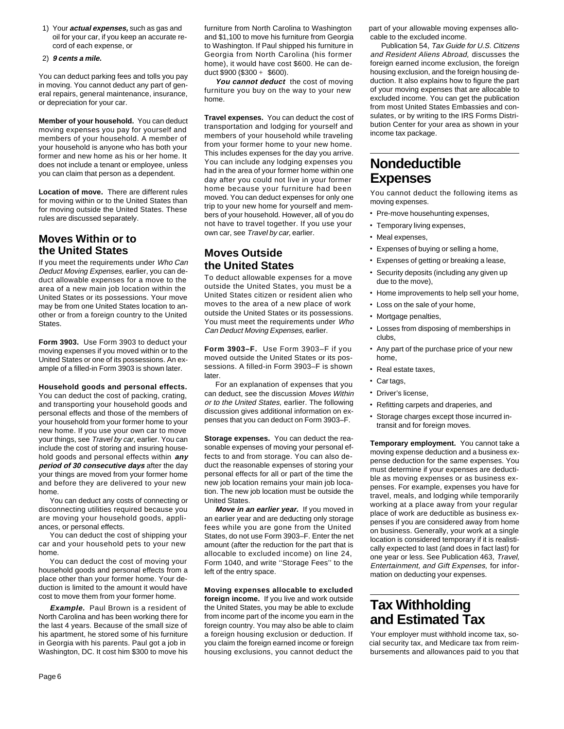**the United States**<br>
If you meet the requirements under *Who Can*<br>
Deduct Moving Expenses, earlier, you can de-<br>
duct allowable expenses for a move to the<br>
To deduct allowable expenses for a move<br>
To deduct allowable expen

Form 3903. Use Form 3903 to deduct your<br>moving expenses if you moved within or to the **Form 3903–F.** Use Form 3903–F if you **charging the purchase price of your new** United States or one of its possessions. An ex- moved outside the United States or its pos-<br>Ample of a filled-in Form 3903 is shown later sessions. A filled-in Form 3903–F is shown

You can deduct the cost of packing, crating, can deduct, see the discussion Moves Within<br>and transporting your bousehold goods and cor to the United States, earlier. The following and transporting your household goods and or to the United States, earlier. The following • Refitting carpets and draperies, and personal effects and those of the members of discussion gives additional information on ex-<br>e personal effects and those of the members of discussion gives additional information on ex-<br>your household from your former home to your penses that you can deduct on Form 3903–F.<br>new home. If you use your own car to move

duction is limited to the amount it would have **Moving expenses allocable to excluded** cost to move them from your former home. **foreign income.** If you live and work outside

North Carolina and has been working there for from income part of the income you earn in the **and Estimated Tax** the last 4 years. Because of the small size of foreign country. You may also be able to claim his apartment, he stored some of his furniture a foreign housing exclusion or deduction. If Your employer must withhold income tax, soin Georgia with his parents. Paul got a job in you claim the foreign earned income or foreign cial security tax, and Medicare tax from reim-Washington, DC. It cost him \$300 to move his housing exclusions, you cannot deduct the bursements and allowances paid to you that

1) Your **actual expenses,** such as gas and furniture from North Carolina to Washington part of your allowable moving expenses allooil for your car, if you keep an accurate re- and \$1,100 to move his furniture from Georgia cable to the excluded income.

**Member of your household.** You can deduct<br>moving expenses you pay for yourself and<br>members of your household. A member of members of your household while traveling<br>your household is anyone who has both your<br>your household Nondeductible<br>
Solution of move. There are different rules<br>
Location of move. There are different rules<br>
Solution of move. There are different rules<br>
Location of move. There are different rules<br>
There are different rules<br> **Moves Within or to by car, see Travel by car, earlier. According to the Meal expenses**,

United States or its possessions. Your move<br>may be from one United States location to an-<br>other or from a foreign country to the United outside the United States or its possessions.<br>other or from a foreign country to the U other or from a foreign country to the United outside the United States or its possessions.<br>States. You must meet the requirements under Who You must meet the requirements under Who

moving expenses if you moved within or to the **Form 3903–F.** Use Form 3903–F if you **Any part of the purchase price of the purchase price of the purchase price of the purchase price of the purchase price of the purchase pr** 

ample of a filled-in Form 3903 is shown later.<br> **A** Real estate taxes, later.<br> **Household goods and personal effects.** For an explanation of expenses that you<br>
You can deduct the cost of packing crating can deduct, see the

**Example.** Paul Brown is a resident of the United States, you may be able to exclude **Tax Withholding**

cord of each expense, or to Washington. If Paul shipped his furniture in Publication 54, Tax Guide for U.S. Citizens Georgia from North Carolina (his former and Resident Aliens Abroad, discusses the 2) **9 cents a mile.** home), it would have cost \$600. He can de- foreign earned income exclusion, the foreign Vou can deduct parking fees and tolls you pay<br>in moving. You cannot deduct any part of gen-<br>eral repairs, general maintenance, insurance,<br>or depreciation for your car.<br>or depreciation for your car.<br>or depreciation for your

- 
- 
- 
- 
- 
- 
- 
- 
- 
- Can Deduct Moving Expenses, earlier.<br>Can Deduct Moving Expenses, earlier.<br>clubs.
	-
	-
	-
	-
	-
	-

your things, see Travel by car, earlier. You can<br>
include the cost of storing an insuring house or should goods and personal effects within **any**<br>
fects to and from storage. You can also de-<br>
hold goods and personal effect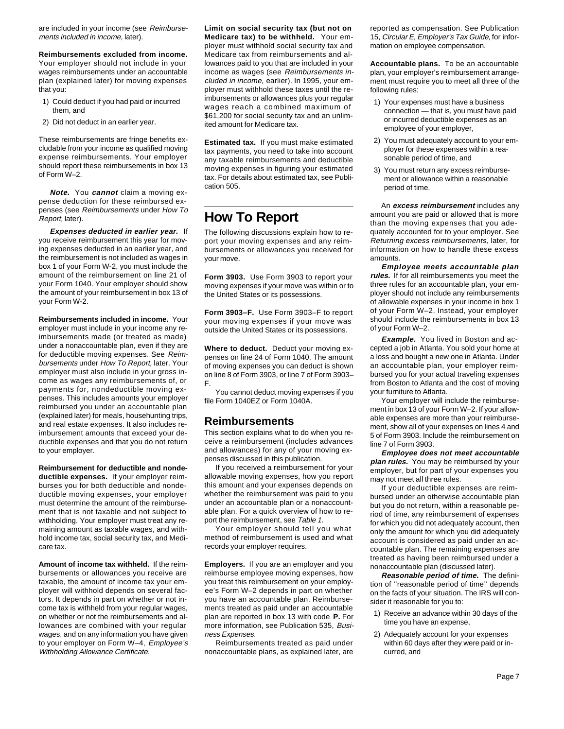are included in your income (see Reimburse-<br> **Medicare tax) to be withheld.** Your em15, *Circular E, Employer's Tax Guide,* for infor-**Medicare tax) to be withheld.** Your em15, *Circular E, Employer's Tax Guide,* for

Your employer should not include in your lowances paid to you that are included in your **Accountable plans.** To be an accountable wages reimbursements under an accountable income as wages (see Reimbursements in- plan, your employer's reimbursement arrangeplan (explained later) for moving expenses cluded in income, earlier). In 1995, your em- ment must require you to meet all three of the that you: ployer must withhold these taxes until the re- following rules:

- 
- 

pense deduction for these reimbursed ex-<br>penses (see Reimbursements under How To **How To Report** amount you are paid or allowed that is more<br>Report, later). **How To Report** amount you are paid or allowed that is more

you receive reimbursement this year for mov-<br>
port your moving expenses and any reim- Returning excess reimbursements, later, for ing expenses deducted in an earlier year, and bursements or allowances you received for information on how to handle these excess the reimbursement is not included as wages in your move.<br>
box 1 of your Form W-2, you must include the **the sect of the set of the set of the set of the set of the set of the set of the set of the set of the set of the set** box 1 of your Form W-2, you must include the amount of the reimbursement on line 21 of **Form 3903.** Use Form 3903 to report your **rules.** If for all reimbursements you meet the your Form 1040. Your employer should show moving expenses if your move was within or to three rules for an accountable plan, your em-<br>the amount of your reimbursement in box 13 of the United States or its possessions. the amount of your reimbursement in box 13 of the United States or its possessions.<br>your Form W-2.

**Reimbursements included in income.** Your<br>
employer must include in your income. Your<br>
employer must include in your income any re-<br>
imbursements made (or treated as made)<br>
imbursements made (or treated as made)<br>
imburseme under a nonaccountable plan, even if they are<br>
for deductive moving expenses. See Reim<br>
bursements under How To Report, later. You sold your home at<br>
persencents where the deduct. Deduct your moving ex-<br>
employer must also imbursement amounts that exceed your de-<br>ductible expenses and that you do not return ceive a reimbursement (includes advances line 7 of Form 3903.<br>to your employer. and allowances) for any of your moving ex-<br>**Finaloyee do** 

to your employer.<br> **Reimbursement for deductible and nonde-**<br> **Reimbursement for deductible and nonde-**<br> **Reimbursement for deductible and nonde-**<br> **Reimbursement for deductible and nonde-**<br> **COM**<br> **COM**<br> **COM**<br> **COM**<br> **CO** 

treated as having been reimbursed under a<br>A**mount of income tax withheld.** If the reim-**Employers.** If you are an employer and you<br>bursements or allowances you receive are emendurse employee moving expenses, how **Reasonabl** on whether or not the reimbursements and al-<br>lowances are combined with your regular more information, see Publication 535, Busi-<br>time you have an expense, wages, and on any information you have given ness Expenses. 20 million 10 million 2) Adequately account for your expenses

ployer must withhold social security tax and mation on employee compensation. **Reimbursements excluded from income.** Medicare tax from reimbursements and al-1) Could deduct if you had paid or incurred imbursements or allowances plus your regular<br>them, and wages reach a combined maximum of them, and them, and them, and the structure of the structure of the<br>2) Did not deduct in

These reimbursements are fringe benefits exception of Form W-2.<br>
Extimated tax. If you must make estimated the moving tax payments, you need to take into account<br>
expense reimbursements. Your employer<br>
should report these cation 505. period of time. **Note.** You **cannot** claim a moving ex-

taxable, the amount of income tax your em-<br>ployer will withhold depends on several fac-<br>tors. It depends in part on whether or not in-<br>come tax is withheld from your regular wages, ments treated as paid under an accountabl

to your employer on Form W-4, *Employee's* Reimbursements treated as paid under within 60 days after they were paid or in-Withholding Allowance Certificate. The nonaccountable plans, as explained later, are curred, and

Medicare tax) to be withheld. Your em-<br>
15, Circular E, Employer's Tax Guide, for infor-

- 
- 
- 

**Expenses deducted in earlier year.** If The following discussions explain how to re- quately accounted for to your employer. See

of allowable expenses in your income in box 1

nold income tax, social security tax, and Medi-<br>records your employer requires. expenses are countable plan. The remaining expenses are

- 
-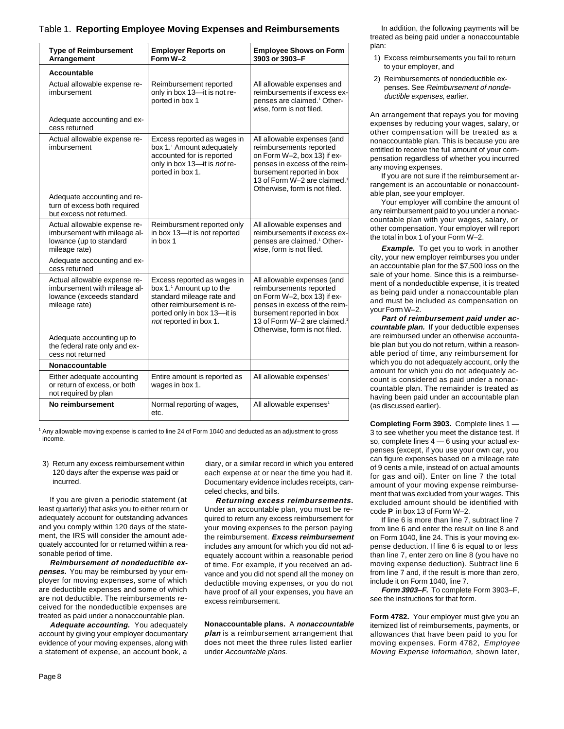### Table 1. **Reporting Employee Moving Expenses and Reimbursements In addition, the following payments will be**

| <b>Type of Reimbursement</b><br>Arrangement                                                                | <b>Employer Reports on</b><br>Form W-2                                                                                                                                                  | <b>Employee Shows on Form</b><br>3903 or 3903-F                                                                                                                                                                                  | plan:<br>1) Excess reimbursements you fail to return                                                                                                                                                                                                                                                                                                |  |
|------------------------------------------------------------------------------------------------------------|-----------------------------------------------------------------------------------------------------------------------------------------------------------------------------------------|----------------------------------------------------------------------------------------------------------------------------------------------------------------------------------------------------------------------------------|-----------------------------------------------------------------------------------------------------------------------------------------------------------------------------------------------------------------------------------------------------------------------------------------------------------------------------------------------------|--|
| <b>Accountable</b>                                                                                         |                                                                                                                                                                                         |                                                                                                                                                                                                                                  | to your employer, and                                                                                                                                                                                                                                                                                                                               |  |
| Actual allowable expense re-<br>imbursement                                                                | Reimbursement reported<br>only in box 13-it is not re-<br>ported in box 1                                                                                                               | All allowable expenses and<br>reimbursements if excess ex-<br>penses are claimed. <sup>1</sup> Other-<br>wise, form is not filed.                                                                                                | 2) Reimbursements of nondeductible ex-<br>penses. See Reimbursement of nonde-<br>ductible expenses, earlier.                                                                                                                                                                                                                                        |  |
| Adequate accounting and ex-<br>cess returned                                                               |                                                                                                                                                                                         |                                                                                                                                                                                                                                  | An arrangement that repays you for moving<br>expenses by reducing your wages, salary, or<br>other compensation will be treated as a                                                                                                                                                                                                                 |  |
| Actual allowable expense re-<br>imbursement<br>Adequate accounting and re-<br>turn of excess both required | Excess reported as wages in<br>box 1. <sup>1</sup> Amount adequately<br>accounted for is reported<br>only in box 13-it is not re-<br>ported in box 1.                                   | All allowable expenses (and<br>reimbursements reported<br>on Form W-2, box 13) if ex-<br>penses in excess of the reim-<br>bursement reported in box<br>13 of Form W-2 are claimed. <sup>1</sup><br>Otherwise, form is not filed. | nonaccountable plan. This is because you are<br>entitled to receive the full amount of your com-<br>pensation regardless of whether you incurred<br>any moving expenses.<br>If you are not sure if the reimbursement ar-<br>rangement is an accountable or nonaccount-<br>able plan, see your employer.<br>Your employer will combine the amount of |  |
| but excess not returned.                                                                                   |                                                                                                                                                                                         |                                                                                                                                                                                                                                  | any reimbursement paid to you under a nonac-                                                                                                                                                                                                                                                                                                        |  |
| Actual allowable expense re-<br>imbursement with mileage al-<br>lowance (up to standard<br>mileage rate)   | Reimbursment reported only<br>in box 13-it is not reported<br>in box 1                                                                                                                  | All allowable expenses and<br>reimbursements if excess ex-<br>penses are claimed. <sup>1</sup> Other-<br>wise, form is not filed.                                                                                                | countable plan with your wages, salary, or<br>other compensation. Your employer will report<br>the total in box 1 of your Form W-2.<br><b>Example.</b> To get you to work in another                                                                                                                                                                |  |
| Adequate accounting and ex-<br>cess returned                                                               |                                                                                                                                                                                         |                                                                                                                                                                                                                                  | city, your new employer reimburses you under<br>an accountable plan for the \$7,500 loss on the<br>sale of your home. Since this is a reimburse-                                                                                                                                                                                                    |  |
| Actual allowable expense re-<br>imbursement with mileage al-<br>lowance (exceeds standard<br>mileage rate) | Excess reported as wages in<br>box 1. <sup>1</sup> Amount up to the<br>standard mileage rate and<br>other reimbursement is re-<br>ported only in box 13-it is<br>not reported in box 1. | All allowable expenses (and<br>reimbursements reported<br>on Form W-2, box 13) if ex-<br>penses in excess of the reim-<br>bursement reported in box<br>13 of Form W-2 are claimed.<br>Otherwise, form is not filed.              | ment of a nondeductible expense, it is treated<br>as being paid under a nonaccountable plan<br>and must be included as compensation on<br>your Form W-2.<br>Part of reimbursement paid under ac-<br>countable plan. If your deductible expenses                                                                                                     |  |
| Adequate accounting up to<br>the federal rate only and ex-<br>cess not returned                            |                                                                                                                                                                                         |                                                                                                                                                                                                                                  | are reimbursed under an otherwise accounta-<br>ble plan but you do not return, within a reason-<br>able period of time, any reimbursement for                                                                                                                                                                                                       |  |
| <b>Nonaccountable</b>                                                                                      |                                                                                                                                                                                         |                                                                                                                                                                                                                                  | which you do not adequately account, only the                                                                                                                                                                                                                                                                                                       |  |
| Either adequate accounting<br>or return of excess, or both<br>not required by plan                         | Entire amount is reported as<br>wages in box 1.                                                                                                                                         | All allowable expenses <sup>1</sup>                                                                                                                                                                                              | amount for which you do not adequately ac-<br>count is considered as paid under a nonac-<br>countable plan. The remainder is treated as<br>having been paid under an accountable plan                                                                                                                                                               |  |
| No reimbursement                                                                                           | Normal reporting of wages,<br>etc.                                                                                                                                                      | All allowable expenses <sup>1</sup>                                                                                                                                                                                              | (as discussed earlier).                                                                                                                                                                                                                                                                                                                             |  |

— Completing Form 3903. Complete lines 1<br><sup>1</sup> Any allowable moving expense is carried to line 24 of Form 1040 and deducted as an adjustment to gross 3 to see whether you meet the distance test. If<br>income. so, complete lines

ceived for the nondeductible expenses are

If you are given a periodic statement (at **Returning excess reimbursements.** excluded amount should be identified with least quarterly) that asks you to either return or Under an accountable plan, you must be re- code **P** quired to return any excess reimbursement for If line 6 is more than line 7, subtract line 7 and you comply within 120 days of the state-<br>ment, the IRS will consider the amount ade-<br>the reimbursement. Excess reimbursement on Form 1040, line 24. This is your moving exment, the IRS will consider the amount ade-<br>quately accounted for or returned within a rea- includes any amount for which you did not ad- pense deduction. If line 6 is equal to or less quately accounted for or returned within a rea- includes any amount for which you did not ad- pense deduction. If line 6 is equal to or less<br>sonable period of time. Sequely account within a reasonable period in than line 7 able period of time.<br>**Reimbursement of nondeductible ex-** equately account within a reasonable period than line 7, enter zero on line 8 (you have not all than **Reimbursement of nondeductible ex-** equation of time. For exam **Reimbursement of nondeductible ex-** of time. For example, if you received an ad- moving expense deduction). Subtract line 6<br>**penses.** You may be reimbursed by your em-<br>yance and you did not spend all the money on from lin **penses.** You may be reimbursed by your em-<br>ployer for moving expenses, some of which deductible moving expenses or you do not include it on Form 1040, line 7. ployer for moving expenses, some of which deductible moving expenses, or you do not include it on Form 1040, line 7.<br>are deductible expenses and some of which have proof of all your expenses you have an **Form 3903–F.** To c are deductible expenses and some of which thave proof of all your expenses, you have an **Form 3903–F.** To complete have not deductible. The reimbursements re-<br>are not deductible. The reimbursements re-

**Adequate accounting.** You adequately **Nonaccountable plans.** A **nonaccountable** itemized list of reimbursements, payments, or account by giving your employer documentary **plan** is a reimbursement arrangement that allowances that have been paid to you for evidence of your moving expenses, along with does not meet the three rules listed earlier moving expenses. Form 4782, Employee a statement of expense, an account book, a under Accountable plans. Moving Expense Information, shown later,

treated as being paid under a nonaccountable

- 1) Excess reimbursements you fail to return
- 

penses (except, if you use your own car, you 3) Return any excess reimbursement within diary, or a similar record in which you entered<br>120 days after the expense was paid or each expense at or near the time you had it.<br>Incurred. Documentary evidence includes receipts

treated as paid under a nonaccountable plan. **Form 4782.** Your employer must give you an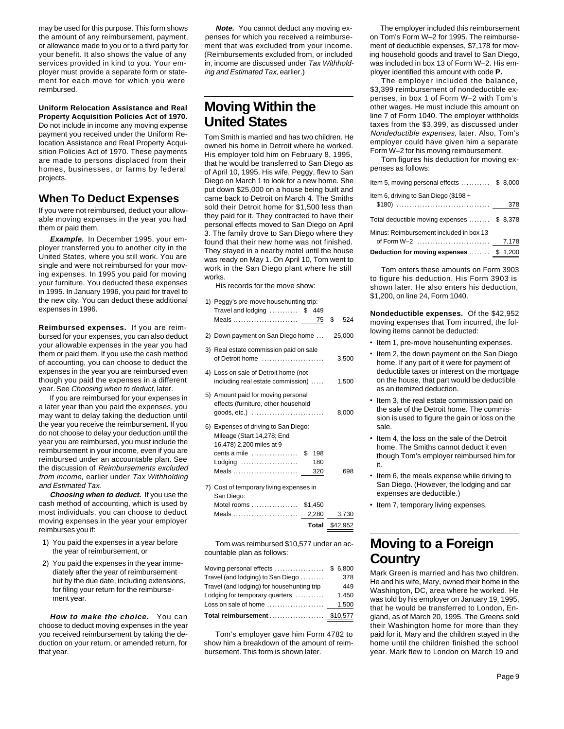may be used for this purpose. This form shows **Note.** You cannot deduct any moving ex- The employer included this reimbursement the amount of any reimbursement, payment, penses for which you received a reimburse- on Tom's Form W–2 for 1995. The reimburseor allowance made to you or to a third party for ment that was excluded from your income. ment of deductible expenses, \$7,178 for mov-<br>your benefit. It also shows the value of any (Reimbursements excluded from, or included your benefit. It also shows the value of any (Reimbursements excluded from, or included ing household goods and travel to San Diego, services provided in kind to you. Your em- in, income are discussed under Tax Withhold- was included in box 13 of Form W–2. His employer must provide a separate form or state- ing and Estimated Tax, earlier.) ployer identified this amount with code **P.** ment for each move for which you were reimbursed. **\$3,399 reimbursed.**  $$3,399$  reimbursement of nondeductible ex-

payment you received under the Uniform Re-<br>location Assistance and Real Property Acqui-<br>owned his home in Detroit where he worked.

ployer transferred you to another city in the<br>
United States, where you still work. You are<br>
single and were not reimbursed for your mov-<br>
single and were not reimbursed for your mov-<br>
single and were not reimbursed for yo

- 
- 

choose to deduct moving expenses in the year their washington home for more than they you received reimbursement by taking the de- Tom's employer gave him Form 4782 to paid for it. Mary and the children stayed in the duction on your return, or amended return, for show him a breakdown of the amount of reim-<br>bursement. This form is shown later. wear. Mark flew to London on March 19 and that year. bursement. This form is shown later. year. Mark flew to London on March 19 and

location Assistance and Real Property Acqui-<br>sition Policies Act of 1970. These payments will be amployer told him on February 8, 1995. Form W-2 for his moving reimbursement. sition Policies Act of 1970. These payments<br>are made to persons displaced from their<br>homes, businesses, or farms by federal to the would be transferred to San Diego as<br>projects.<br>Diego on March 1 to look for a new home. She put down \$25,000 on a house being built and<br>Item **To Deduct Expenses** came back to Detroit on March 4. The Smiths<br>Sold their Detroit home for \$1.500 less than Figure 19 20 20 20 20 20 20 20 20 20 20 20 20 378<br>If you were not reimbursed, deduct your allow-<br>able moving expenses in the year you had<br>them or paid them.<br>3. The family drove to San Diego where they<br>3. The family drove t **Example.** In December 1995, your em-<br>**Example.** In December 1995, your em-<br>ployer transferred you to another city in the They stayed in a nearby motel until the house

| the new city. You can deduct these additional                                                                                                                                                                                                                | 1) Peggy's pre-move househunting trip:                                                                                                                                     | 31,200, 011 III IE 24, FOIIII 1040.                                                                                                                                                                                             |
|--------------------------------------------------------------------------------------------------------------------------------------------------------------------------------------------------------------------------------------------------------------|----------------------------------------------------------------------------------------------------------------------------------------------------------------------------|---------------------------------------------------------------------------------------------------------------------------------------------------------------------------------------------------------------------------------|
| expenses in 1996.<br>Reimbursed expenses. If you are reim-                                                                                                                                                                                                   | Travel and lodging $\dots\dots\dots$ \$ 449<br>Meals<br>\$<br>524<br>75                                                                                                    | Nondeductible expenses. Of the \$42,952<br>moving expenses that Tom incurred, the fol-<br>lowing items cannot be deducted:                                                                                                      |
| bursed for your expenses, you can also deduct<br>your allowable expenses in the year you had                                                                                                                                                                 | 2) Down payment on San Diego home<br>25,000                                                                                                                                | • Item 1, pre-move househunting expenses.                                                                                                                                                                                       |
| them or paid them. If you use the cash method<br>of accounting, you can choose to deduct the<br>expenses in the year you are reimbursed even<br>though you paid the expenses in a different<br>year. See Choosing when to deduct, later.                     | 3) Real estate commission paid on sale<br>3,500<br>of Detroit home<br>4) Loss on sale of Detroit home (not<br>including real estate commission)<br>1,500                   | • Item 2, the down payment on the San Diego<br>home. If any part of it were for payment of<br>deductible taxes or interest on the mortgage<br>on the house, that part would be deductible<br>as an itemized deduction.          |
| If you are reimbursed for your expenses in<br>a later year than you paid the expenses, you<br>may want to delay taking the deduction until<br>the year you receive the reimbursement. If you<br>do not choose to delay your deduction until the              | 5) Amount paid for moving personal<br>effects (furniture, other household<br>8,000<br>goods, etc.)<br>6) Expenses of driving to San Diego:<br>Mileage (Start 14,278; End   | • Item 3, the real estate commission paid on<br>the sale of the Detroit home. The commis-<br>sion is used to figure the gain or loss on the<br>sale.                                                                            |
| year you are reimbursed, you must include the<br>reimbursement in your income, even if you are<br>reimbursed under an accountable plan. See<br>the discussion of Reimbursements excluded<br>from income, earlier under Tax Withholding<br>and Estimated Tax. | 16,478) 2,200 miles at 9<br>cents a mile  \$ 198<br>Lodging $\dots\dots\dots\dots\dots\dots\dots$<br>180<br>Meals<br>698<br>320<br>7) Cost of temporary living expenses in | • Item 4, the loss on the sale of the Detroit<br>home. The Smiths cannot deduct it even<br>though Tom's employer reimbursed him for<br>• Item 6, the meals expense while driving to<br>San Diego. (However, the lodging and car |
| <b>Choosing when to deduct.</b> If you use the<br>cash method of accounting, which is used by<br>most individuals, you can choose to deduct<br>moving expenses in the year your employer<br>reimburses you if:                                               | San Diego:<br>Motel rooms  \$1,450<br>3,730<br><b>Total \$42,952</b>                                                                                                       | expenses are deductible.)<br>• Item 7, temporary living expenses.                                                                                                                                                               |
| 1) You naid the expenses in a vear hefore                                                                                                                                                                                                                    | $T_{\alpha\alpha}$ was reimburged $R_{\alpha}$ $T_{\alpha}$ under an an                                                                                                    | Maving to a Earoian                                                                                                                                                                                                             |

| 1) You paid the expenses in a year before<br>the year of reimbursement, or                                                                                                                     | Tom was reimbursed \$10,577 under an ac-<br>countable plan as follows:                                                                                          | <b>Moving to a Foreign</b>                                                                                                                                                                                                                                                |
|------------------------------------------------------------------------------------------------------------------------------------------------------------------------------------------------|-----------------------------------------------------------------------------------------------------------------------------------------------------------------|---------------------------------------------------------------------------------------------------------------------------------------------------------------------------------------------------------------------------------------------------------------------------|
| 2) You paid the expenses in the year imme-<br>diately after the year of reimbursement<br>but by the due date, including extensions,<br>for filing your return for the reimburse-<br>ment year. | Moving personal effects  \$ 6,800<br>Travel (and lodging) to San Diego<br>Travel (and lodging) for househunting trip<br>Lodging for temporary quarters<br>1,450 | <b>Country</b><br>Mark Green is married and has two children.<br>378<br>He and his wife, Mary, owned their home in the<br>449<br>Washington, DC, area where he worked. He<br>was told by his employer on January 19, 1995,<br>that he would be transferred to London, En- |
| <b>How to make the choice.</b> You can                                                                                                                                                         |                                                                                                                                                                 | gland, as of March 20, 1995. The Greens sold                                                                                                                                                                                                                              |

penses, in box 1 of Form W–2 with Tom's **Uniform Relocation Assistance and Real Moving Within the** other wages. He must include this amount on **Property Acquisition Policies Act of 1970. United States** and the 7 of Form 1040. The employer withholds by the employer withholds by the employer withholds by the employer withholds by the employer withholds by the S3, Do not include in income any moving expense **UNITED STATES** taxes from the \$3,399, as discussed under<br>
payment you received under the Uniform Re-<br>
Tem Smith is maxial and has true children. Its Mondeductible expenses, late

| Item 5, moving personal effects  \$ 8,000  |  |
|--------------------------------------------|--|
| Item 6, driving to San Diego (\$198 $+$    |  |
| Total deductible moving expenses  \$ 8,378 |  |
| Minus: Reimbursement included in box 13    |  |
| Deduction for moving expenses  \$ 1,200    |  |

- 
- 
- 
- 
- 
- 

**How to make the choice.** You can **Total reimbursement** ..................... \$10,577 gland, as of March 20, 1995. The Greens sold